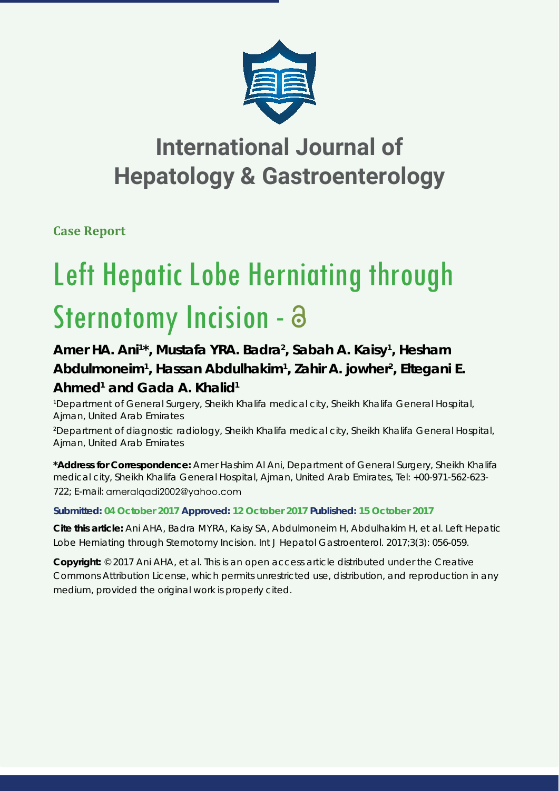

## **International Journal of Hepatology & Gastroenterology**

**Case Report**

# Left Hepatic Lobe Herniating through Sternotomy Incision - a

### Amer HA. Ani<sup>1\*</sup>, Mustafa YRA. Badra<sup>2</sup>, Sabah A. Kaisy<sup>1</sup>, Hesham Abdulmoneim<sup>1</sup>, Hassan Abdulhakim<sup>1</sup>, Zahir A. jowher<sup>2</sup>, Eltegani E. **Ahmed1 and Gada A. Khalid1**

*1 Department of General Surgery, Sheikh Khalifa medical city, Sheikh Khalifa General Hospital, Ajman, United Arab Emirates*

*2 Department of diagnostic radiology, Sheikh Khalifa medical city, Sheikh Khalifa General Hospital, Ajman, United Arab Emirates*

**\*Address for Correspondence:** Amer Hashim Al Ani, Department of General Surgery, Sheikh Khalifa medical city, Sheikh Khalifa General Hospital, Ajman, United Arab Emirates, Tel: +00-971-562-623- 722; E-mail: ameralgadi2002@yahoo.com

**Submitted: 04 October 2017 Approved: 12 October 2017 Published: 15 October 2017**

**Cite this article:** Ani AHA, Badra MYRA, Kaisy SA, Abdulmoneim H, Abdulhakim H, et al. Left Hepatic Lobe Herniating through Sternotomy Incision. Int J Hepatol Gastroenterol. 2017;3(3): 056-059.

**Copyright:** © 2017 Ani AHA, et al. This is an open access article distributed under the Creative Commons Attribution License, which permits unrestricted use, distribution, and reproduction in any medium, provided the original work is properly cited.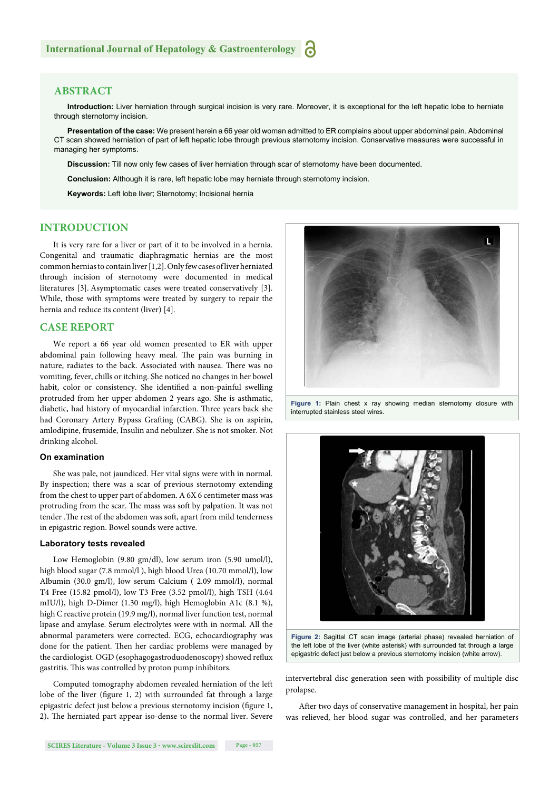#### **ABSTRACT**

**Introduction:** Liver herniation through surgical incision is very rare. Moreover, it is exceptional for the left hepatic lobe to herniate through sternotomy incision.

**Presentation of the case:** We present herein a 66 year old woman admitted to ER complains about upper abdominal pain. Abdominal CT scan showed herniation of part of left hepatic lobe through previous sternotomy incision. Conservative measures were successful in managing her symptoms.

**Discussion:** Till now only few cases of liver herniation through scar of sternotomy have been documented.

**Conclusion:** Although it is rare, left hepatic lobe may herniate through sternotomy incision.

**Keywords:** Left lobe liver; Sternotomy; Incisional hernia

#### **INTRODUCTION**

It is very rare for a liver or part of it to be involved in a hernia. Congenital and traumatic diaphragmatic hernias are the most common hernias to contain liver [1,2]. Only few cases of liver herniated through incision of sternotomy were documented in medical literatures [3]. Asymptomatic cases were treated conservatively [3]. While, those with symptoms were treated by surgery to repair the hernia and reduce its content (liver) [4].

#### **CASE REPORT**

We report a 66 year old women presented to ER with upper abdominal pain following heavy meal. The pain was burning in nature, radiates to the back. Associated with nausea. There was no vomiting, fever, chills or itching. She noticed no changes in her bowel habit, color or consistency. She identified a non-painful swelling protruded from her upper abdomen 2 years ago. She is asthmatic, diabetic, had history of myocardial infarction. Three years back she had Coronary Artery Bypass Grafting (CABG). She is on aspirin, amlodipine, frusemide, Insulin and nebulizer. She is not smoker. Not drinking alcohol.

#### **On examination**

She was pale, not jaundiced. Her vital signs were with in normal. By inspection; there was a scar of previous sternotomy extending from the chest to upper part of abdomen. A 6X 6 centimeter mass was protruding from the scar. The mass was soft by palpation. It was not tender . The rest of the abdomen was soft, apart from mild tenderness in epigastric region. Bowel sounds were active.

#### **Laboratory tests revealed**

Low Hemoglobin (9.80 gm/dl), low serum iron (5.90 umol/l), high blood sugar (7.8 mmol/l ), high blood Urea (10.70 mmol/l), low Albumin (30.0 gm/l), low serum Calcium ( 2.09 mmol/l), normal T4 Free (15.82 pmol/l), low T3 Free (3.52 pmol/l), high TSH (4.64 mIU/l), high D-Dimer (1.30 mg/l), high Hemoglobin A1c (8.1 %), high C reactive protein (19.9 mg/l), normal liver function test, normal lipase and amylase. Serum electrolytes were with in normal. All the abnormal parameters were corrected. ECG, echocardiography was done for the patient. Then her cardiac problems were managed by the cardiologist. OGD (esophagogastroduodenoscopy) showed reflux gastritis. This was controlled by proton pump inhibitors.

Computed tomography abdomen revealed herniation of the left lobe of the liver (figure 1, 2) with surrounded fat through a large epigastric defect just below a previous sternotomy incision (figure 1, 2). The herniated part appear iso-dense to the normal liver. Severe



Figure 1: Plain chest x ray showing median sternotomy closure with interrupted stainless steel wires.



**Figure 2:** Sagittal CT scan image (arterial phase) revealed herniation of the left lobe of the liver (white asterisk) with surrounded fat through a large epigastric defect just below a previous sternotomy incision (white arrow).

intervertebral disc generation seen with possibility of multiple disc prolapse.

After two days of conservative management in hospital, her pain was relieved, her blood sugar was controlled, and her parameters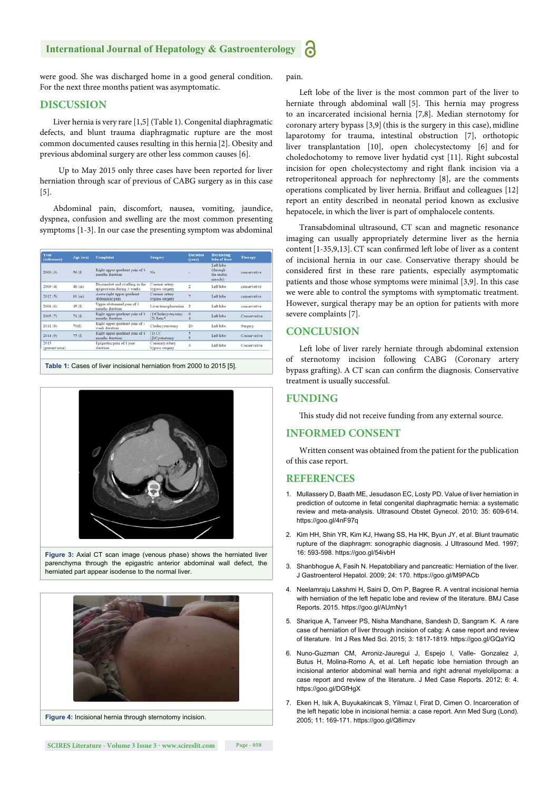#### **International Journal of Hepatology & Gastroenterology**

were good. She was discharged home in a good general condition. For the next three months patient was asymptomatic.

#### **DISCUSSION**

Liver hernia is very rare [1,5] (Table 1). Congenital diaphragmatic defects, and blunt trauma diaphragmatic rupture are the most common documented causes resulting in this hernia [2]. Obesity and previous abdominal surgery are other less common causes [6].

 Up to May 2015 only three cases have been reported for liver herniation through scar of previous of CABG surgery as in this case [5].

Abdominal pain, discomfort, nausea, vomiting, jaundice, dyspnea, confusion and swelling are the most common presenting symptoms [1-3]. In our case the presenting symptom was abdominal

| Year<br>(reference)    | Age (sex) | Complaint                                                    | <b>Surgery</b>                    | <b>Duration</b><br>(year) | Herniating<br>lobe of liver                      | <b>Therapy</b> |
|------------------------|-----------|--------------------------------------------------------------|-----------------------------------|---------------------------|--------------------------------------------------|----------------|
| 2000(3)                | 56(f)     | Right upper quadrant pain of 6<br>months duration            | No                                | ۰                         | Left lobe<br>(through)<br>the rectus.<br>muscle) | conservative   |
| 2009(4)                | 48 (m)    | Discomfort and swelling in the<br>epigastrium during 3 weeks | Coroner artery<br>bypass surgery  |                           | Left lobe                                        | conservative   |
| 2012(5)                | 81 (m)    | Acute right upper quadrant<br>abdominal pain                 | Coroner artery<br>bypass surgery  |                           | Left lobe                                        | conservative   |
| 2004(6)                | 45(6)     | Upper abdominal pain of 3<br>months duration                 | Liver transplantation             | $\ddot{ }$                | Left lobe                                        | conservative   |
| 2005(7)                | 73(0)     | Right upper quadrant pain of 6<br>months duration.           | (1)Cholecystectomy<br>$(2)$ Heus* | 6                         | Left lobe                                        | Conservative   |
| 2012(8)                | 70(f)     | Right upper quadrant pain of 1<br>week duration              | Cholecystectomy                   | 20                        | Left lobe                                        | Surgery        |
| 2014(9)                | 75(6)     | Right upper quadrant pain of 4<br>months duration.           | $(1)$ CC<br>(2) Cystectomy        |                           | Left lobe                                        | Conservative   |
| 2015<br>(present case) |           | Epigastric pain of 1 year<br>duration                        | Coronary artery<br>bypass surgery | ą,                        | Left lobe                                        | Conservative   |

**Table 1:** Cases of liver incisional herniation from 2000 to 2015 [5].



**Figure 3:** Axial CT scan image (venous phase) shows the herniated liver parenchyma through the epigastric anterior abdominal wall defect, the herniated part appear isodense to the normal liver.



**Figure 4:** Incisional hernia through sternotomy incision.

pain.

Left lobe of the liver is the most common part of the liver to herniate through abdominal wall [5]. This hernia may progress to an incarcerated incisional hernia [7,8]. Median sternotomy for coronary artery bypass [3,9](this is the surgery in this case), midline laparotomy for trauma, intestinal obstruction [7], orthotopic liver transplantation [10], open cholecystectomy [6] and for choledochotomy to remove liver hydatid cyst [11]. Right subcostal incision for open cholecystectomy and right flank incision via a retroperitoneal approach for nephrectomy [8], are the comments operations complicated by liver hernia. Briffaut and colleagues [12] report an entity described in neonatal period known as exclusive hepatocele, in which the liver is part of omphalocele contents.

Transabdominal ultrasound, CT scan and magnetic resonance imaging can usually appropriately determine liver as the hernia content [1-35,9,13]. CT scan confirmed left lobe of liver as a content of incisional hernia in our case. Conservative therapy should be considered first in these rare patients, especially asymptomatic patients and those whose symptoms were minimal [3,9]. In this case we were able to control the symptoms with symptomatic treatment. However, surgical therapy may be an option for patients with more severe complaints [7].

#### **CONCLUSION**

Left lobe of liver rarely herniate through abdominal extension of sternotomy incision following CABG (Coronary artery bypass grafting). A CT scan can confirm the diagnosis. Conservative treatment is usually successful.

#### **FUNDING**

This study did not receive funding from any external source.

#### **INFORMED CONSENT**

Written consent was obtained from the patient for the publication of this case report.

#### **REFERENCES**

- 1. Mullassery D, Baath ME, Jesudason EC, Losty PD. Value of liver herniation in prediction of outcome in fetal congenital diaphragmatic hernia: a systematic review and meta-analysis. Ultrasound Obstet Gynecol. 2010; 35: 609-614. https://goo.gl/4nF97q
- 2. Kim HH, Shin YR, Kim KJ, Hwang SS, Ha HK, Byun JY, et al. Blunt traumatic rupture of the diaphragm: sonographic diagnosis. J Ultrasound Med. 1997; 16: 593-598. https://goo.gl/54ivbH
- 3. Shanbhogue A, Fasih N. Hepatobiliary and pancreatic: Herniation of the liver. J Gastroenterol Hepatol. 2009; 24: 170. https://goo.gl/M9PACb
- 4. Neelamraju Lakshmi H, Saini D, Om P, Bagree R. A ventral incisional hernia with herniation of the left hepatic lobe and review of the literature. BMJ Case Reports. 2015. https://goo.gl/AUmNy1
- 5. Sharique A, Tanveer PS, Nisha Mandhane, Sandesh D, Sangram K. A rare case of herniation of liver through incision of cabg: A case report and review of literature. Int J Res Med Sci. 2015; 3: 1817-1819. https://goo.gl/GQaYiQ
- 6. Nuno-Guzman CM, Arroniz-Jauregui J, Espejo I, Valle- Gonzalez J, Butus H, Molina-Romo A, et al. Left hepatic lobe herniation through an incisional anterior abdominal wall hernia and right adrenal myelolipoma: a case report and review of the literature. J Med Case Reports. 2012; 6: 4. https://goo.gl/DGfHgX
- 7. Eken H, Isik A, Buyukakincak S, Yilmaz I, Firat D, Cimen O. Incarceration of the left hepatic lobe in incisional hernia: a case report. Ann Med Surg (Lond). 2005; 11: 169-171. https://goo.gl/Q8imzv